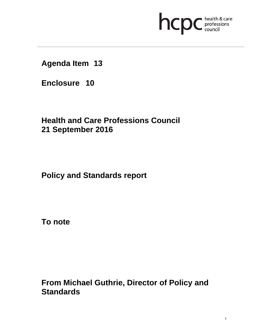# **health & care**

**Agenda Item 13** 

**Enclosure 10**

**Health and Care Professions Council 21 September 2016**

**Policy and Standards report** 

**To note** 

**From Michael Guthrie, Director of Policy and Standards**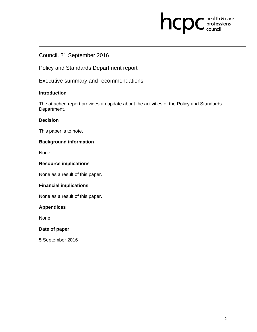# **health & care**

# Council, 21 September 2016

Policy and Standards Department report

Executive summary and recommendations

### **Introduction**

The attached report provides an update about the activities of the Policy and Standards Department.

### **Decision**

This paper is to note.

# **Background information**

None.

## **Resource implications**

None as a result of this paper.

# **Financial implications**

None as a result of this paper.

# **Appendices**

None.

#### **Date of paper**

5 September 2016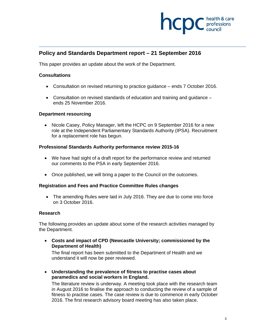

# **Policy and Standards Department report – 21 September 2016**

This paper provides an update about the work of the Department.

#### **Consultations**

- Consultation on revised returning to practice guidance ends 7 October 2016.
- Consultation on revised standards of education and training and guidance ends 25 November 2016.

#### **Department resourcing**

• Nicole Casey, Policy Manager, left the HCPC on 9 September 2016 for a new role at the Independent Parliamentary Standards Authority (IPSA). Recruitment for a replacement role has begun.

#### **Professional Standards Authority performance review 2015-16**

- We have had sight of a draft report for the performance review and returned our comments to the PSA in early September 2016.
- Once published, we will bring a paper to the Council on the outcomes.

#### **Registration and Fees and Practice Committee Rules changes**

 The amending Rules were laid in July 2016. They are due to come into force on 3 October 2016.

#### **Research**

The following provides an update about some of the research activities managed by the Department.

 **Costs and impact of CPD (Newcastle University; commissioned by the Department of Health)** 

The final report has been submitted to the Department of Health and we understand it will now be peer reviewed.

 **Understanding the prevalence of fitness to practise cases about paramedics and social workers in England.**

The literature review is underway. A meeting took place with the research team in August 2016 to finalise the approach to conducting the review of a sample of fitness to practise cases. The case review is due to commence in early October 2016. The first research advisory board meeting has also taken place.